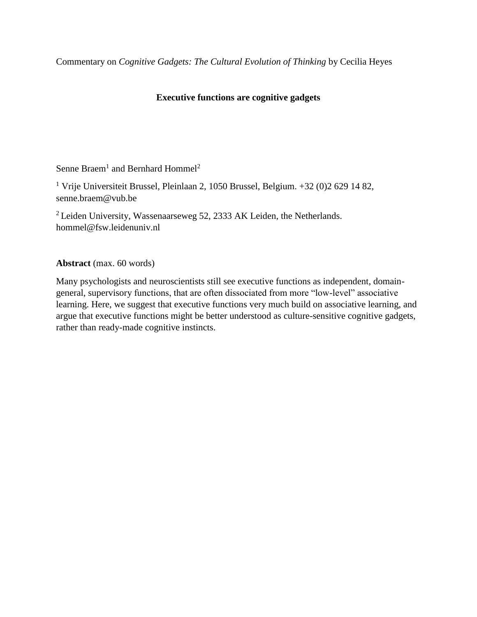Commentary on *Cognitive Gadgets: The Cultural Evolution of Thinking* by Cecilia Heyes

## **Executive functions are cognitive gadgets**

Senne Braem<sup>1</sup> and Bernhard Hommel<sup>2</sup>

<sup>1</sup> Vrije Universiteit Brussel, Pleinlaan 2, 1050 Brussel, Belgium. +32 (0)2 629 14 82, senne.braem@vub.be

<sup>2</sup> Leiden University, Wassenaarseweg 52, 2333 AK Leiden, the Netherlands. hommel@fsw.leidenuniv.nl

**Abstract** (max. 60 words)

Many psychologists and neuroscientists still see executive functions as independent, domaingeneral, supervisory functions, that are often dissociated from more "low-level" associative learning. Here, we suggest that executive functions very much build on associative learning, and argue that executive functions might be better understood as culture-sensitive cognitive gadgets, rather than ready-made cognitive instincts.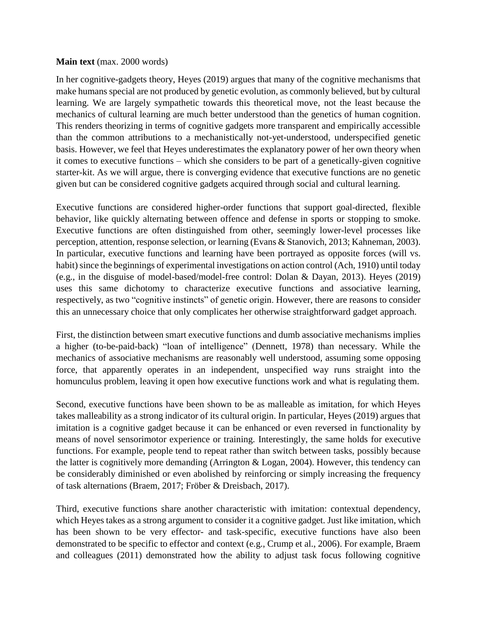## **Main text** (max. 2000 words)

In her cognitive-gadgets theory, Heyes (2019) argues that many of the cognitive mechanisms that make humans special are not produced by genetic evolution, as commonly believed, but by cultural learning. We are largely sympathetic towards this theoretical move, not the least because the mechanics of cultural learning are much better understood than the genetics of human cognition. This renders theorizing in terms of cognitive gadgets more transparent and empirically accessible than the common attributions to a mechanistically not-yet-understood, underspecified genetic basis. However, we feel that Heyes underestimates the explanatory power of her own theory when it comes to executive functions – which she considers to be part of a genetically-given cognitive starter-kit. As we will argue, there is converging evidence that executive functions are no genetic given but can be considered cognitive gadgets acquired through social and cultural learning.

Executive functions are considered higher-order functions that support goal-directed, flexible behavior, like quickly alternating between offence and defense in sports or stopping to smoke. Executive functions are often distinguished from other, seemingly lower-level processes like perception, attention, response selection, or learning (Evans & Stanovich, 2013; Kahneman, 2003). In particular, executive functions and learning have been portrayed as opposite forces (will vs. habit) since the beginnings of experimental investigations on action control (Ach, 1910) until today (e.g., in the disguise of model-based/model-free control: Dolan & Dayan, 2013). Heyes (2019) uses this same dichotomy to characterize executive functions and associative learning, respectively, as two "cognitive instincts" of genetic origin. However, there are reasons to consider this an unnecessary choice that only complicates her otherwise straightforward gadget approach.

First, the distinction between smart executive functions and dumb associative mechanisms implies a higher (to-be-paid-back) "loan of intelligence" (Dennett, 1978) than necessary. While the mechanics of associative mechanisms are reasonably well understood, assuming some opposing force, that apparently operates in an independent, unspecified way runs straight into the homunculus problem, leaving it open how executive functions work and what is regulating them.

Second, executive functions have been shown to be as malleable as imitation, for which Heyes takes malleability as a strong indicator of its cultural origin. In particular, Heyes (2019) argues that imitation is a cognitive gadget because it can be enhanced or even reversed in functionality by means of novel sensorimotor experience or training. Interestingly, the same holds for executive functions. For example, people tend to repeat rather than switch between tasks, possibly because the latter is cognitively more demanding (Arrington & Logan, 2004). However, this tendency can be considerably diminished or even abolished by reinforcing or simply increasing the frequency of task alternations (Braem, 2017; Fröber & Dreisbach, 2017).

Third, executive functions share another characteristic with imitation: contextual dependency, which Heyes takes as a strong argument to consider it a cognitive gadget. Just like imitation, which has been shown to be very effector- and task-specific, executive functions have also been demonstrated to be specific to effector and context (e.g., Crump et al., 2006). For example, Braem and colleagues (2011) demonstrated how the ability to adjust task focus following cognitive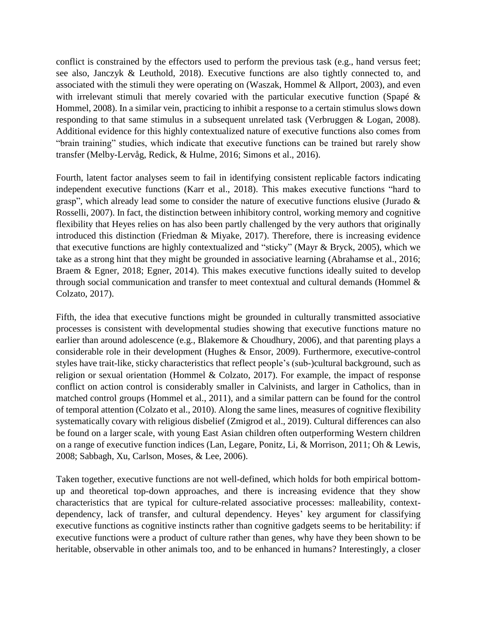conflict is constrained by the effectors used to perform the previous task (e.g., hand versus feet; see also, Janczyk & Leuthold, 2018). Executive functions are also tightly connected to, and associated with the stimuli they were operating on (Waszak, Hommel  $\&$  Allport, 2003), and even with irrelevant stimuli that merely covaried with the particular executive function (Spapé & Hommel, 2008). In a similar vein, practicing to inhibit a response to a certain stimulus slows down responding to that same stimulus in a subsequent unrelated task (Verbruggen & Logan, 2008). Additional evidence for this highly contextualized nature of executive functions also comes from "brain training" studies, which indicate that executive functions can be trained but rarely show transfer (Melby-Lervåg, Redick, & Hulme, 2016; Simons et al., 2016).

Fourth, latent factor analyses seem to fail in identifying consistent replicable factors indicating independent executive functions (Karr et al., 2018). This makes executive functions "hard to grasp", which already lead some to consider the nature of executive functions elusive (Jurado & Rosselli, 2007). In fact, the distinction between inhibitory control, working memory and cognitive flexibility that Heyes relies on has also been partly challenged by the very authors that originally introduced this distinction (Friedman & Miyake, 2017). Therefore, there is increasing evidence that executive functions are highly contextualized and "sticky" (Mayr & Bryck, 2005), which we take as a strong hint that they might be grounded in associative learning (Abrahamse et al., 2016; Braem & Egner, 2018; Egner, 2014). This makes executive functions ideally suited to develop through social communication and transfer to meet contextual and cultural demands (Hommel & Colzato, 2017).

Fifth, the idea that executive functions might be grounded in culturally transmitted associative processes is consistent with developmental studies showing that executive functions mature no earlier than around adolescence (e.g., Blakemore & Choudhury, 2006), and that parenting plays a considerable role in their development (Hughes & Ensor, 2009). Furthermore, executive-control styles have trait-like, sticky characteristics that reflect people's (sub-)cultural background, such as religion or sexual orientation (Hommel & Colzato, 2017). For example, the impact of response conflict on action control is considerably smaller in Calvinists, and larger in Catholics, than in matched control groups (Hommel et al., 2011), and a similar pattern can be found for the control of temporal attention (Colzato et al., 2010). Along the same lines, measures of cognitive flexibility systematically covary with religious disbelief (Zmigrod et al., 2019). Cultural differences can also be found on a larger scale, with young East Asian children often outperforming Western children on a range of executive function indices (Lan, Legare, Ponitz, Li, & Morrison, 2011; Oh & Lewis, 2008; Sabbagh, Xu, Carlson, Moses, & Lee, 2006).

Taken together, executive functions are not well-defined, which holds for both empirical bottomup and theoretical top-down approaches, and there is increasing evidence that they show characteristics that are typical for culture-related associative processes: malleability, contextdependency, lack of transfer, and cultural dependency. Heyes' key argument for classifying executive functions as cognitive instincts rather than cognitive gadgets seems to be heritability: if executive functions were a product of culture rather than genes, why have they been shown to be heritable, observable in other animals too, and to be enhanced in humans? Interestingly, a closer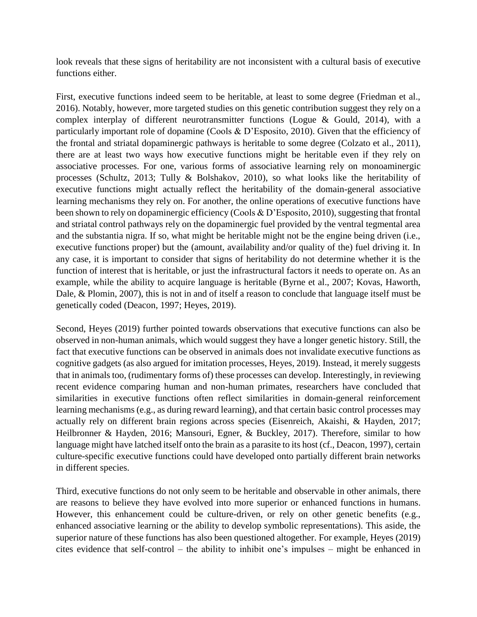look reveals that these signs of heritability are not inconsistent with a cultural basis of executive functions either.

First, executive functions indeed seem to be heritable, at least to some degree (Friedman et al., 2016). Notably, however, more targeted studies on this genetic contribution suggest they rely on a complex interplay of different neurotransmitter functions (Logue & Gould, 2014), with a particularly important role of dopamine (Cools & D'Esposito, 2010). Given that the efficiency of the frontal and striatal dopaminergic pathways is heritable to some degree (Colzato et al., 2011), there are at least two ways how executive functions might be heritable even if they rely on associative processes. For one, various forms of associative learning rely on monoaminergic processes (Schultz, 2013; Tully & Bolshakov, 2010), so what looks like the heritability of executive functions might actually reflect the heritability of the domain-general associative learning mechanisms they rely on. For another, the online operations of executive functions have been shown to rely on dopaminergic efficiency (Cools & D'Esposito, 2010), suggesting that frontal and striatal control pathways rely on the dopaminergic fuel provided by the ventral tegmental area and the substantia nigra. If so, what might be heritable might not be the engine being driven (i.e., executive functions proper) but the (amount, availability and/or quality of the) fuel driving it. In any case, it is important to consider that signs of heritability do not determine whether it is the function of interest that is heritable, or just the infrastructural factors it needs to operate on. As an example, while the ability to acquire language is heritable (Byrne et al., 2007; Kovas, Haworth, Dale, & Plomin, 2007), this is not in and of itself a reason to conclude that language itself must be genetically coded (Deacon, 1997; Heyes, 2019).

Second, Heyes (2019) further pointed towards observations that executive functions can also be observed in non-human animals, which would suggest they have a longer genetic history. Still, the fact that executive functions can be observed in animals does not invalidate executive functions as cognitive gadgets (as also argued for imitation processes, Heyes, 2019). Instead, it merely suggests that in animals too, (rudimentary forms of) these processes can develop. Interestingly, in reviewing recent evidence comparing human and non-human primates, researchers have concluded that similarities in executive functions often reflect similarities in domain-general reinforcement learning mechanisms (e.g., as during reward learning), and that certain basic control processes may actually rely on different brain regions across species (Eisenreich, Akaishi, & Hayden, 2017; Heilbronner & Hayden, 2016; Mansouri, Egner, & Buckley, 2017). Therefore, similar to how language might have latched itself onto the brain as a parasite to its host (cf., Deacon, 1997), certain culture-specific executive functions could have developed onto partially different brain networks in different species.

Third, executive functions do not only seem to be heritable and observable in other animals, there are reasons to believe they have evolved into more superior or enhanced functions in humans. However, this enhancement could be culture-driven, or rely on other genetic benefits (e.g., enhanced associative learning or the ability to develop symbolic representations). This aside, the superior nature of these functions has also been questioned altogether. For example, Heyes (2019) cites evidence that self-control – the ability to inhibit one's impulses – might be enhanced in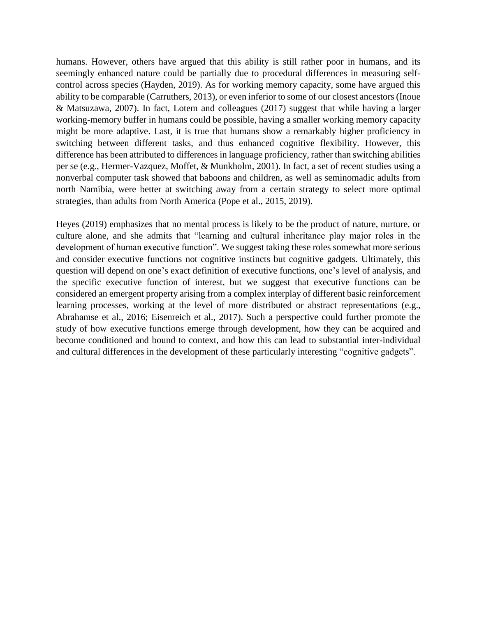humans. However, others have argued that this ability is still rather poor in humans, and its seemingly enhanced nature could be partially due to procedural differences in measuring selfcontrol across species (Hayden, 2019). As for working memory capacity, some have argued this ability to be comparable (Carruthers, 2013), or even inferior to some of our closest ancestors (Inoue & Matsuzawa, 2007). In fact, Lotem and colleagues (2017) suggest that while having a larger working-memory buffer in humans could be possible, having a smaller working memory capacity might be more adaptive. Last, it is true that humans show a remarkably higher proficiency in switching between different tasks, and thus enhanced cognitive flexibility. However, this difference has been attributed to differences in language proficiency, rather than switching abilities per se (e.g., Hermer-Vazquez, Moffet, & Munkholm, 2001). In fact, a set of recent studies using a nonverbal computer task showed that baboons and children, as well as seminomadic adults from north Namibia, were better at switching away from a certain strategy to select more optimal strategies, than adults from North America (Pope et al., 2015, 2019).

Heyes (2019) emphasizes that no mental process is likely to be the product of nature, nurture, or culture alone, and she admits that "learning and cultural inheritance play major roles in the development of human executive function". We suggest taking these roles somewhat more serious and consider executive functions not cognitive instincts but cognitive gadgets. Ultimately, this question will depend on one's exact definition of executive functions, one's level of analysis, and the specific executive function of interest, but we suggest that executive functions can be considered an emergent property arising from a complex interplay of different basic reinforcement learning processes, working at the level of more distributed or abstract representations (e.g., Abrahamse et al., 2016; Eisenreich et al., 2017). Such a perspective could further promote the study of how executive functions emerge through development, how they can be acquired and become conditioned and bound to context, and how this can lead to substantial inter-individual and cultural differences in the development of these particularly interesting "cognitive gadgets".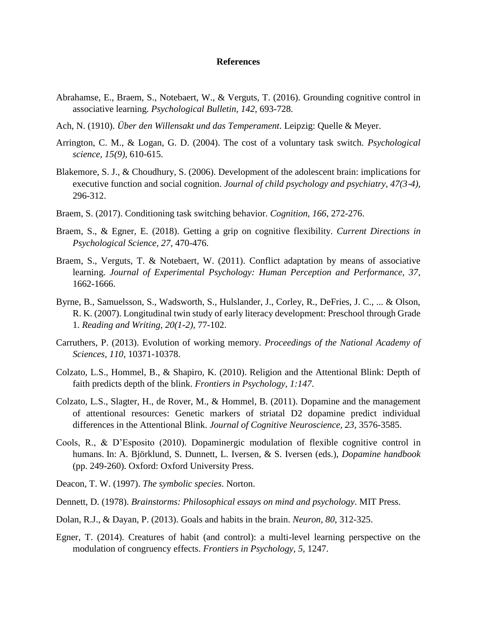## **References**

- Abrahamse, E., Braem, S., Notebaert, W., & Verguts, T. (2016). Grounding cognitive control in associative learning. *Psychological Bulletin, 142,* 693-728.
- Ach, N. (1910). *Über den Willensakt und das Temperament*. Leipzig: Quelle & Meyer.
- Arrington, C. M., & Logan, G. D. (2004). The cost of a voluntary task switch. *Psychological science, 15(9),* 610-615.
- Blakemore, S. J., & Choudhury, S. (2006). Development of the adolescent brain: implications for executive function and social cognition. *Journal of child psychology and psychiatry, 47(3*‐*4),* 296-312.
- Braem, S. (2017). Conditioning task switching behavior. *Cognition, 166*, 272-276.
- Braem, S., & Egner, E. (2018). Getting a grip on cognitive flexibility. *Current Directions in Psychological Science, 27*, 470-476.
- Braem, S., Verguts, T. & Notebaert, W. (2011). Conflict adaptation by means of associative learning. *Journal of Experimental Psychology: Human Perception and Performance, 37*, 1662-1666.
- Byrne, B., Samuelsson, S., Wadsworth, S., Hulslander, J., Corley, R., DeFries, J. C., ... & Olson, R. K. (2007). Longitudinal twin study of early literacy development: Preschool through Grade 1. *Reading and Writing, 20(1-2),* 77-102.
- Carruthers, P. (2013). Evolution of working memory. *Proceedings of the National Academy of Sciences, 110*, 10371-10378.
- Colzato, L.S., Hommel, B., & Shapiro, K. (2010). Religion and the Attentional Blink: Depth of faith predicts depth of the blink. *Frontiers in Psychology, 1:147*.
- Colzato, L.S., Slagter, H., de Rover, M., & Hommel, B. (2011). Dopamine and the management of attentional resources: Genetic markers of striatal D2 dopamine predict individual differences in the Attentional Blink. *Journal of Cognitive Neuroscience, 23*, 3576-3585.
- Cools, R., & D'Esposito (2010). Dopaminergic modulation of flexible cognitive control in humans. In: A. Björklund, S. Dunnett, L. Iversen, & S. Iversen (eds.), *Dopamine handbook* (pp. 249-260). Oxford: Oxford University Press.
- Deacon, T. W. (1997). *The symbolic species*. Norton.
- Dennett, D. (1978). *Brainstorms: Philosophical essays on mind and psychology*. MIT Press.
- Dolan, R.J., & Dayan, P. (2013). Goals and habits in the brain. *Neuron, 80*, 312-325.
- Egner, T. (2014). Creatures of habit (and control): a multi-level learning perspective on the modulation of congruency effects. *Frontiers in Psychology, 5*, 1247.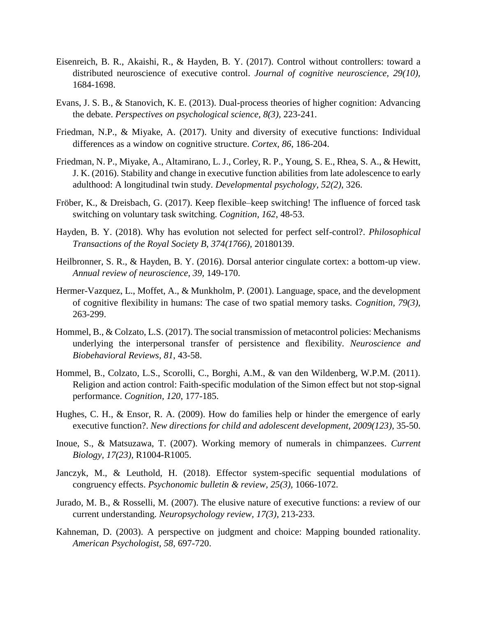- Eisenreich, B. R., Akaishi, R., & Hayden, B. Y. (2017). Control without controllers: toward a distributed neuroscience of executive control. *Journal of cognitive neuroscience, 29(10),* 1684-1698.
- Evans, J. S. B., & Stanovich, K. E. (2013). Dual-process theories of higher cognition: Advancing the debate. *Perspectives on psychological science, 8(3),* 223-241.
- Friedman, N.P., & Miyake, A. (2017). Unity and diversity of executive functions: Individual differences as a window on cognitive structure. *Cortex, 86*, 186-204.
- Friedman, N. P., Miyake, A., Altamirano, L. J., Corley, R. P., Young, S. E., Rhea, S. A., & Hewitt, J. K. (2016). Stability and change in executive function abilities from late adolescence to early adulthood: A longitudinal twin study. *Developmental psychology, 52(2)*, 326.
- Fröber, K., & Dreisbach, G. (2017). Keep flexible–keep switching! The influence of forced task switching on voluntary task switching. *Cognition, 162*, 48-53.
- Hayden, B. Y. (2018). Why has evolution not selected for perfect self-control?. *Philosophical Transactions of the Royal Society B, 374(1766),* 20180139.
- Heilbronner, S. R., & Hayden, B. Y. (2016). Dorsal anterior cingulate cortex: a bottom-up view. *Annual review of neuroscience, 39,* 149-170.
- Hermer-Vazquez, L., Moffet, A., & Munkholm, P. (2001). Language, space, and the development of cognitive flexibility in humans: The case of two spatial memory tasks. *Cognition, 79(3),* 263-299.
- Hommel, B., & Colzato, L.S. (2017). The social transmission of metacontrol policies: Mechanisms underlying the interpersonal transfer of persistence and flexibility. *Neuroscience and Biobehavioral Reviews, 81*, 43-58.
- Hommel, B., Colzato, L.S., Scorolli, C., Borghi, A.M., & van den Wildenberg, W.P.M. (2011). Religion and action control: Faith-specific modulation of the Simon effect but not stop-signal performance. *Cognition, 120*, 177-185.
- Hughes, C. H., & Ensor, R. A. (2009). How do families help or hinder the emergence of early executive function?. *New directions for child and adolescent development, 2009(123),* 35-50.
- Inoue, S., & Matsuzawa, T. (2007). Working memory of numerals in chimpanzees. *Current Biology, 17(23),* R1004-R1005.
- Janczyk, M., & Leuthold, H. (2018). Effector system-specific sequential modulations of congruency effects. *Psychonomic bulletin & review, 25(3),* 1066-1072.
- Jurado, M. B., & Rosselli, M. (2007). The elusive nature of executive functions: a review of our current understanding. *Neuropsychology review, 17(3),* 213-233.
- Kahneman, D. (2003). A perspective on judgment and choice: Mapping bounded rationality. *American Psychologist, 58,* 697-720.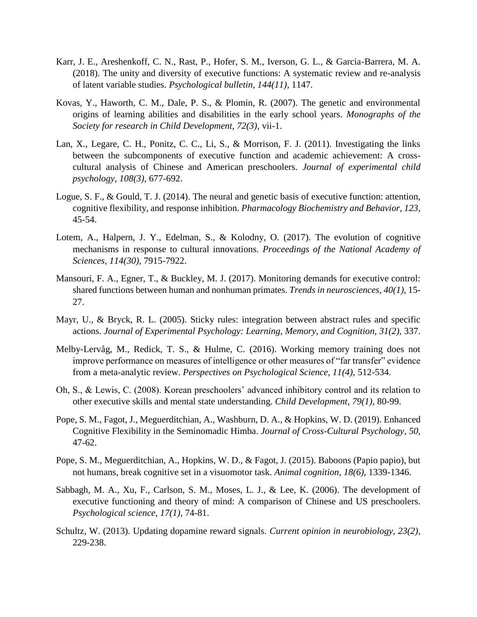- Karr, J. E., Areshenkoff, C. N., Rast, P., Hofer, S. M., Iverson, G. L., & Garcia-Barrera, M. A. (2018). The unity and diversity of executive functions: A systematic review and re-analysis of latent variable studies. *Psychological bulletin, 144(11),* 1147.
- Kovas, Y., Haworth, C. M., Dale, P. S., & Plomin, R. (2007). The genetic and environmental origins of learning abilities and disabilities in the early school years. *Monographs of the Society for research in Child Development, 72(3)*, vii-1.
- Lan, X., Legare, C. H., Ponitz, C. C., Li, S., & Morrison, F. J. (2011). Investigating the links between the subcomponents of executive function and academic achievement: A crosscultural analysis of Chinese and American preschoolers. *Journal of experimental child psychology, 108(3),* 677-692.
- Logue, S. F., & Gould, T. J. (2014). The neural and genetic basis of executive function: attention, cognitive flexibility, and response inhibition. *Pharmacology Biochemistry and Behavior, 123*, 45-54.
- Lotem, A., Halpern, J. Y., Edelman, S., & Kolodny, O. (2017). The evolution of cognitive mechanisms in response to cultural innovations. *Proceedings of the National Academy of Sciences, 114(30)*, 7915-7922.
- Mansouri, F. A., Egner, T., & Buckley, M. J. (2017). Monitoring demands for executive control: shared functions between human and nonhuman primates. *Trends in neurosciences, 40(1),* 15- 27.
- Mayr, U., & Bryck, R. L. (2005). Sticky rules: integration between abstract rules and specific actions. *Journal of Experimental Psychology: Learning, Memory, and Cognition, 31(2),* 337.
- Melby-Lervåg, M., Redick, T. S., & Hulme, C. (2016). Working memory training does not improve performance on measures of intelligence or other measures of "far transfer" evidence from a meta-analytic review. *Perspectives on Psychological Science, 11(4),* 512-534.
- Oh, S., & Lewis, C. (2008). Korean preschoolers' advanced inhibitory control and its relation to other executive skills and mental state understanding. *Child Development, 79(1),* 80-99.
- Pope, S. M., Fagot, J., Meguerditchian, A., Washburn, D. A., & Hopkins, W. D. (2019). Enhanced Cognitive Flexibility in the Seminomadic Himba. *Journal of Cross-Cultural Psychology, 50*, 47-62.
- Pope, S. M., Meguerditchian, A., Hopkins, W. D., & Fagot, J. (2015). Baboons (Papio papio), but not humans, break cognitive set in a visuomotor task. *Animal cognition, 18(6),* 1339-1346.
- Sabbagh, M. A., Xu, F., Carlson, S. M., Moses, L. J., & Lee, K. (2006). The development of executive functioning and theory of mind: A comparison of Chinese and US preschoolers. *Psychological science, 17(1),* 74-81.
- Schultz, W. (2013). Updating dopamine reward signals. *Current opinion in neurobiology, 23(2),* 229-238.